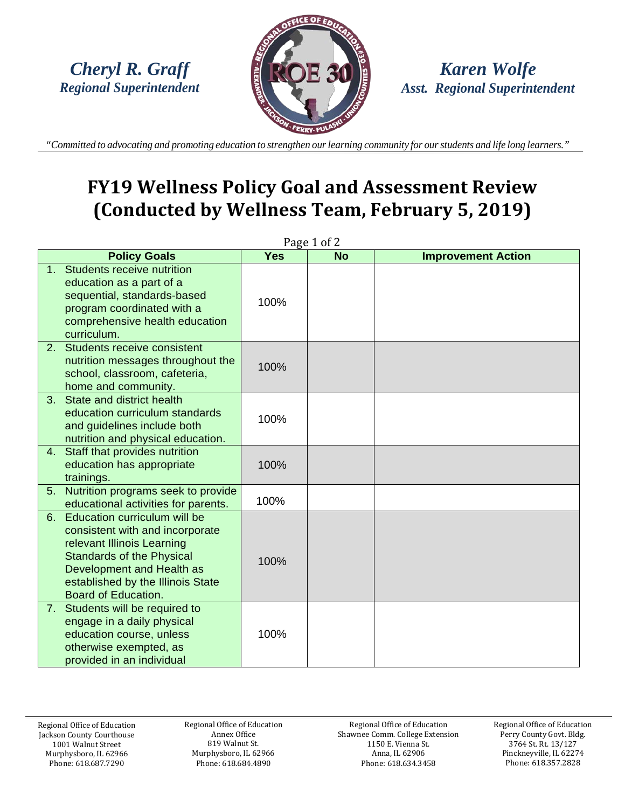

*Karen Wolfe Asst. Regional Superintendent*

"Committed to advocating and promoting education to strengthen our learning community for our students and life long learners."

# **FY19 Wellness Policy Goal and Assessment Review (Conducted by Wellness Team, February 5, 2019)**

| Page $1$ of $2$ |                                                                                                                                                                                                                                   |            |           |                           |  |  |
|-----------------|-----------------------------------------------------------------------------------------------------------------------------------------------------------------------------------------------------------------------------------|------------|-----------|---------------------------|--|--|
|                 | <b>Policy Goals</b>                                                                                                                                                                                                               | <b>Yes</b> | <b>No</b> | <b>Improvement Action</b> |  |  |
|                 | 1. Students receive nutrition<br>education as a part of a<br>sequential, standards-based<br>program coordinated with a<br>comprehensive health education<br>curriculum.                                                           | 100%       |           |                           |  |  |
| 2.              | Students receive consistent<br>nutrition messages throughout the<br>school, classroom, cafeteria,<br>home and community.                                                                                                          | 100%       |           |                           |  |  |
| 3 <sub>1</sub>  | State and district health<br>education curriculum standards<br>and guidelines include both<br>nutrition and physical education.                                                                                                   | 100%       |           |                           |  |  |
| 4.              | Staff that provides nutrition<br>education has appropriate<br>trainings.                                                                                                                                                          | 100%       |           |                           |  |  |
| 5.              | Nutrition programs seek to provide<br>educational activities for parents.                                                                                                                                                         | 100%       |           |                           |  |  |
| 6.              | Education curriculum will be<br>consistent with and incorporate<br>relevant Illinois Learning<br><b>Standards of the Physical</b><br>Development and Health as<br>established by the Illinois State<br><b>Board of Education.</b> | 100%       |           |                           |  |  |
|                 | 7. Students will be required to<br>engage in a daily physical<br>education course, unless<br>otherwise exempted, as<br>provided in an individual                                                                                  | 100%       |           |                           |  |  |

Regional Office of Education Annex Office 819 Walnut St. Murphysboro, IL 62966 Phone: 618.684.4890

Regional Office of Education Shawnee Comm. College Extension 1150 E. Vienna St. Anna, IL 62906 Phone: 618.634.3458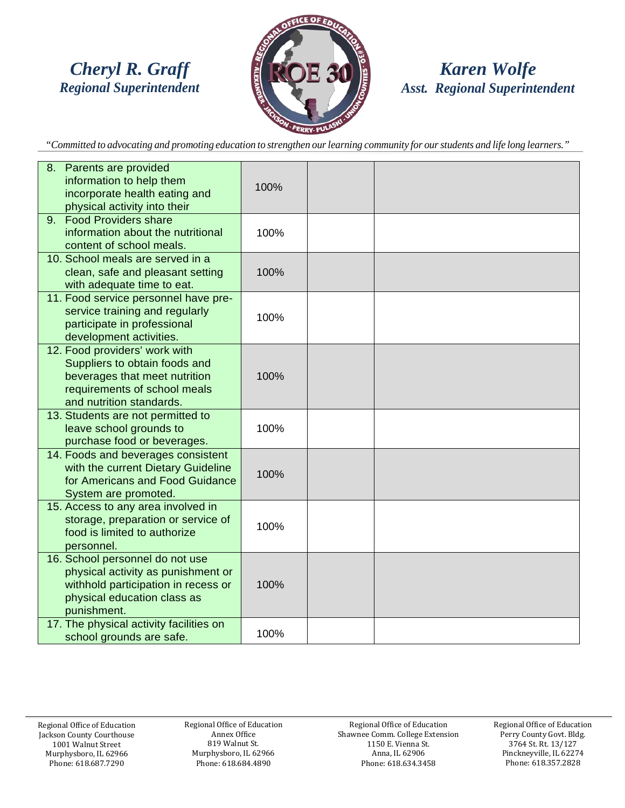

#### *Karen Wolfe Asst. Regional Superintendent*

"Committed to advocating and promoting education to strengthen our learning community for our students and life long learners."

| 8. Parents are provided<br>information to help them<br>incorporate health eating and<br>physical activity into their                                        | 100% |  |
|-------------------------------------------------------------------------------------------------------------------------------------------------------------|------|--|
| <b>Food Providers share</b><br>9.<br>information about the nutritional<br>content of school meals.                                                          | 100% |  |
| 10. School meals are served in a<br>clean, safe and pleasant setting<br>with adequate time to eat.                                                          | 100% |  |
| 11. Food service personnel have pre-<br>service training and regularly<br>participate in professional<br>development activities.                            | 100% |  |
| 12. Food providers' work with<br>Suppliers to obtain foods and<br>beverages that meet nutrition<br>requirements of school meals<br>and nutrition standards. | 100% |  |
| 13. Students are not permitted to<br>leave school grounds to<br>purchase food or beverages.                                                                 | 100% |  |
| 14. Foods and beverages consistent<br>with the current Dietary Guideline<br>for Americans and Food Guidance<br>System are promoted.                         | 100% |  |
| 15. Access to any area involved in<br>storage, preparation or service of<br>food is limited to authorize<br>personnel.                                      | 100% |  |
| 16. School personnel do not use<br>physical activity as punishment or<br>withhold participation in recess or<br>physical education class as<br>punishment.  | 100% |  |
| 17. The physical activity facilities on<br>school grounds are safe.                                                                                         | 100% |  |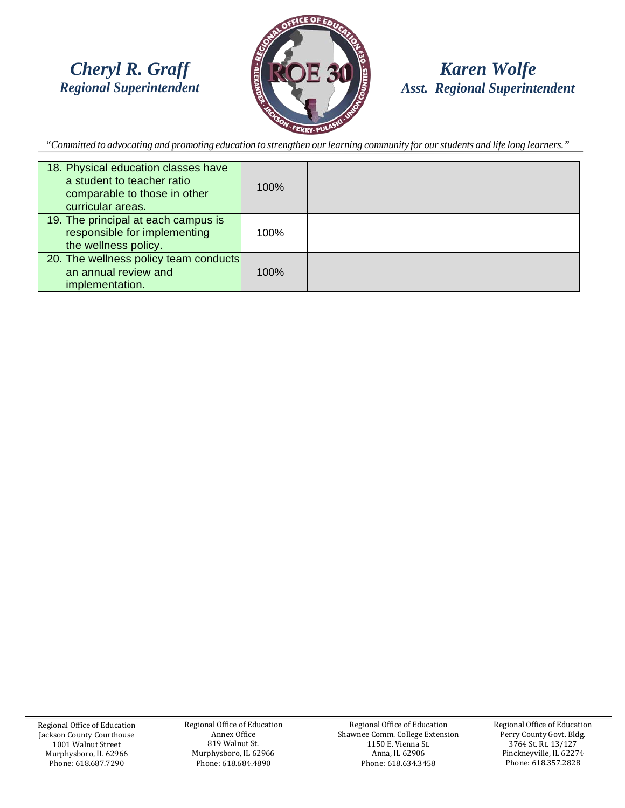

#### *Karen Wolfe Asst. Regional Superintendent*

"Committed to advocating and promoting education to strengthen our learning community for our students and life long learners."

| 18. Physical education classes have<br>a student to teacher ratio<br>comparable to those in other<br>curricular areas. | 100% |  |
|------------------------------------------------------------------------------------------------------------------------|------|--|
| 19. The principal at each campus is<br>responsible for implementing<br>the wellness policy.                            | 100% |  |
| 20. The wellness policy team conducts<br>an annual review and<br>implementation.                                       | 100% |  |

Regional Office of Education Jackson County Courthouse 1001 Walnut Street Murphysboro, IL 62966 Phone: 618.687.7290

Regional Office of Education Annex Office 819 Walnut St. Murphysboro, IL 62966 Phone: 618.684.4890

Regional Office of Education Shawnee Comm. College Extension 1150 E. Vienna St. Anna, IL 62906 Phone: 618.634.3458